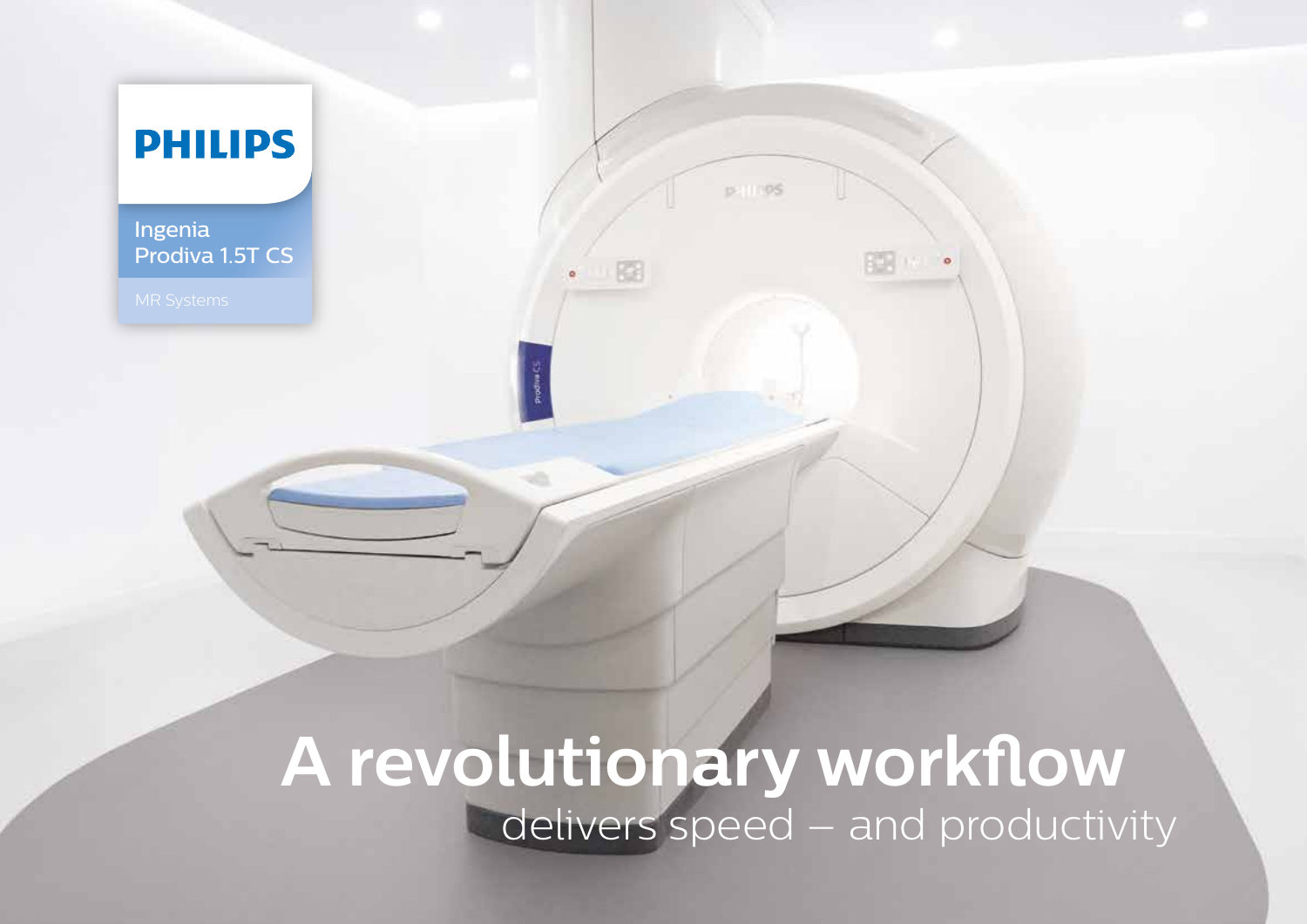

## **A revolutionary workflow**  delivers speed – and productivity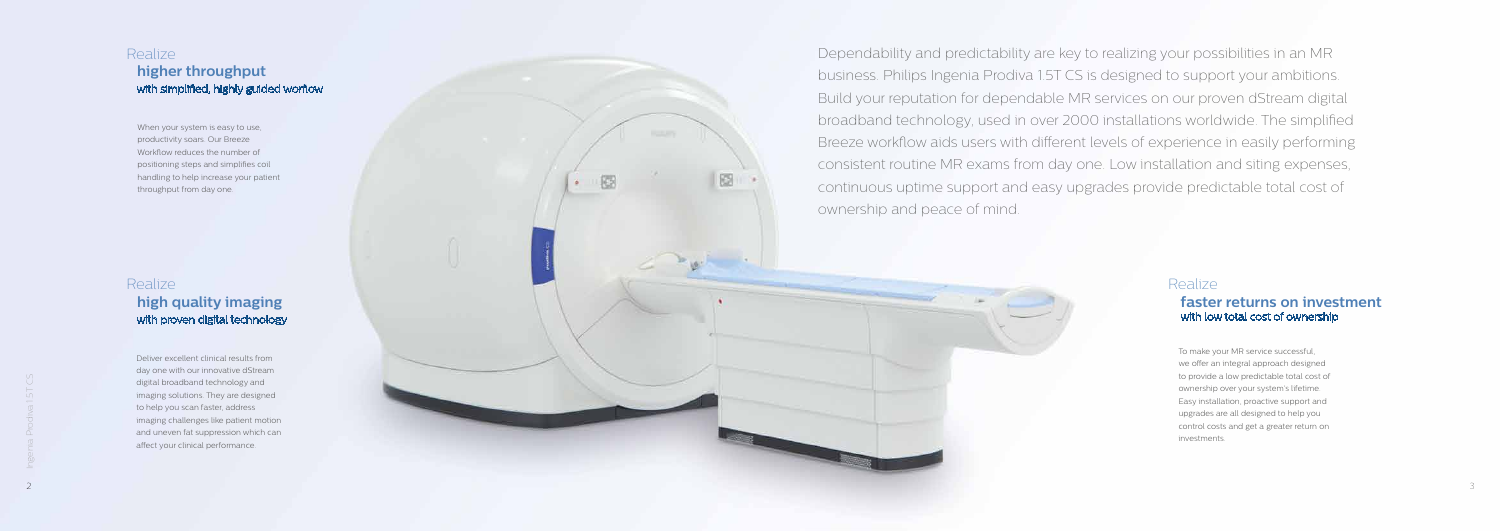Dependability and predictability are key to realizing your possibilities in an MR business. Philips Ingenia Prodiva 1.5T CS is designed to support your ambitions. Build your reputation for dependable MR services on our proven dStream digital broadband technology, used in over 2000 installations worldwide. The simplified Breeze workflow aids users with different levels of experience in easily performing consistent routine MR exams from day one. Low installation and siting expenses, continuous uptime support and easy upgrades provide predictable total cost of ownership and peace of mind.



## Realize

### Realize  **high quality imaging** with proven digital technology

#### **faster returns on investment**  with low total cost of ownership

To make your MR service successful, we offer an integral approach designed to provide a low predictable total cost of ownership over your system's lifetime. Easy installation, proactive support and upgrades are all designed to help you control costs and get a greater return on investments.

#### Realize  **higher throughput** with simplified, highly guided worflow

When your system is easy to use, productivity soars. Our Breeze Workflow reduces the number of positioning steps and simplifies coil handling to help increase your patient throughput from day one.

Deliver excellent clinical results from day one with our innovative dStream digital broadband technology and imaging solutions. They are designed to help you scan faster, address imaging challenges like patient motion and uneven fat suppression which can affect your clinical performance.

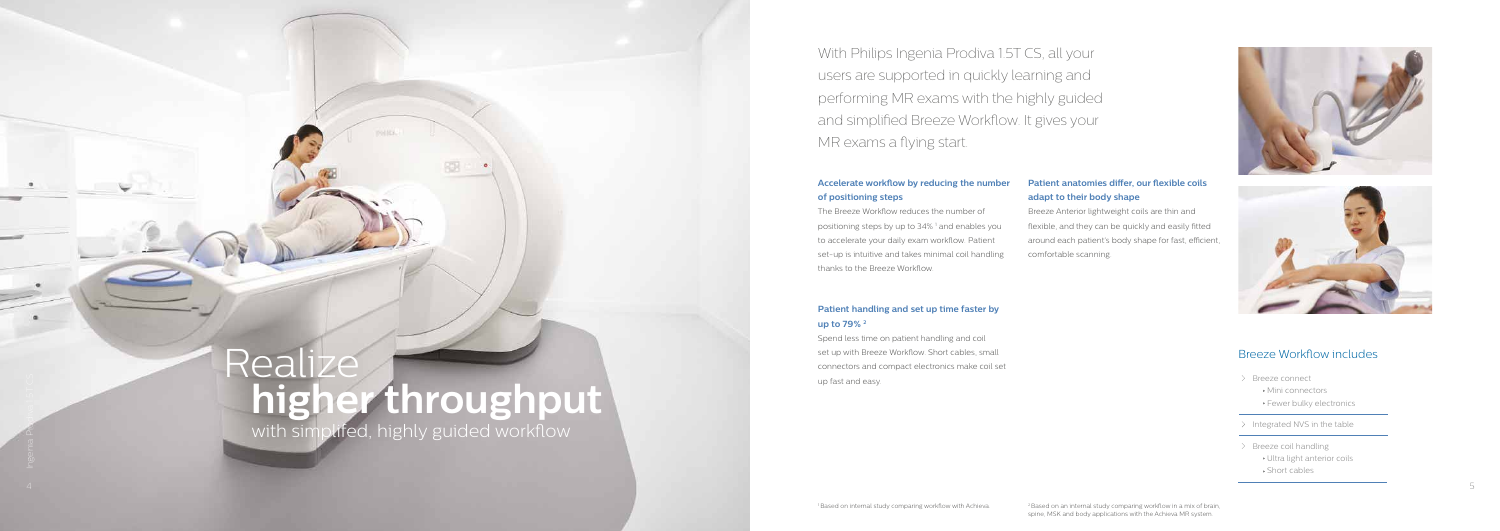# Realiz **higher throughput**

राप

with simplifed, highly guided workflow

#### **Accelerate workflow by reducing the number of positioning steps**

The Breeze Workflow reduces the number of positioning steps by up to 34% 1 and enables you to accelerate your daily exam workflow. Patient set-up is intuitive and takes minimal coil handling thanks to the Breeze Workflow.

#### **Patient handling and set up time faster by up to 79% 2**

Spend less time on patient handling and coil set up with Breeze Workflow. Short cables, small connectors and compact electronics make coil set up fast and easy.

#### **Patient anatomies differ, our flexible coils adapt to their body shape**

- > Breeze connect
	- Mini connectors
	- **Fewer bulky electronics**
- $\geq$  Integrated NVS in the table
- $\geq$  Breeze coil handling
	- Ultra light anterior coils
	- Short cables

Breeze Anterior lightweight coils are thin and flexible, and they can be quickly and easily fitted around each patient's body shape for fast, efficient, comfortable scanning.





With Philips Ingenia Prodiva 1.5T CS, all your users are supported in quickly learning and performing MR exams with the highly guided and simplified Breeze Workflow. It gives your MR exams a flying start.

#### Breeze Workflow includes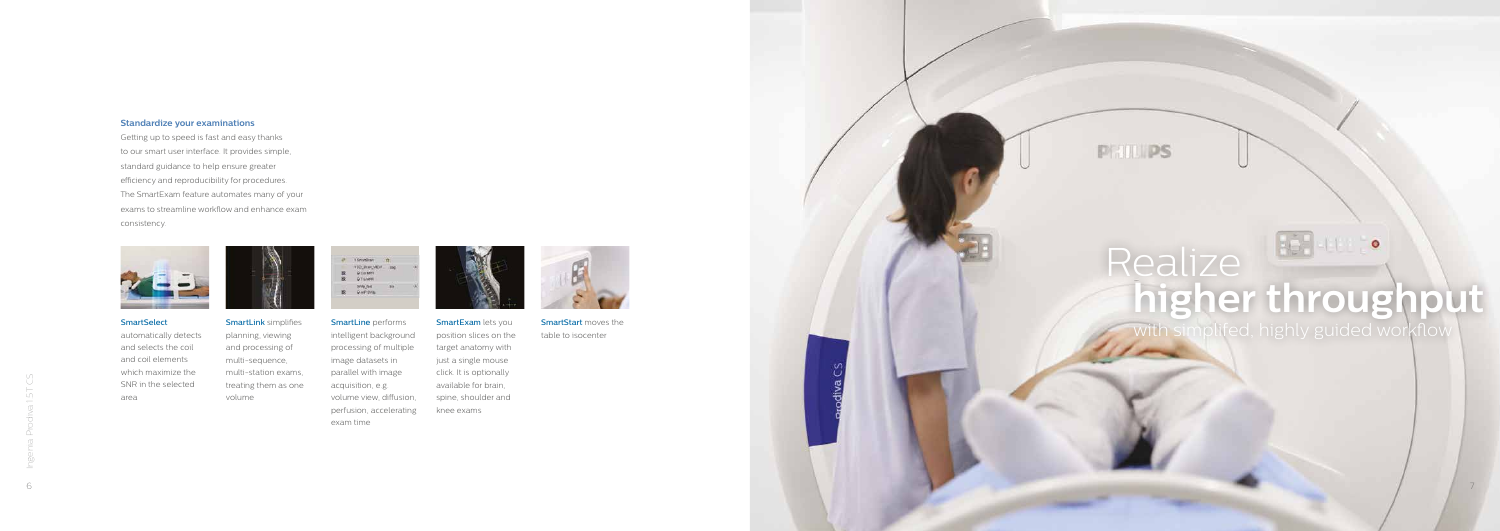7

**PRILIPS** 

**SmartStart** moves the table to isocenter

automatically detects and selects the coil and coil elements which maximize the SNR in the selected area



**SmartLine** performs intelligent background processing of multiple image datasets in parallel with image acquisition, e.g. volume view, diffusion, perfusion, accelerating exam time



**SmartExam lets you** position slices on the target anatomy with just a single mouse click. It is optionally available for brain, spine, shoulder and knee exams



**SmartLink** simplifies planning, viewing and processing of multi-sequence, multi-station exams, treating them as one volume

| Œ | <b>Yin</b> b | <b>SATISF</b><br>œ |  |
|---|--------------|--------------------|--|
|   |              |                    |  |

## $\bullet$ Realize **higher throughput**

#### **Standardize your examinations**

Getting up to speed is fast and easy thanks to our smart user interface. It provides simple, standard guidance to help ensure greater efficiency and reproducibility for procedures. The SmartExam feature automates many of your exams to streamline workflow and enhance exam consistency.



#### **SmartSelect**

with simplifed, highly guided workflow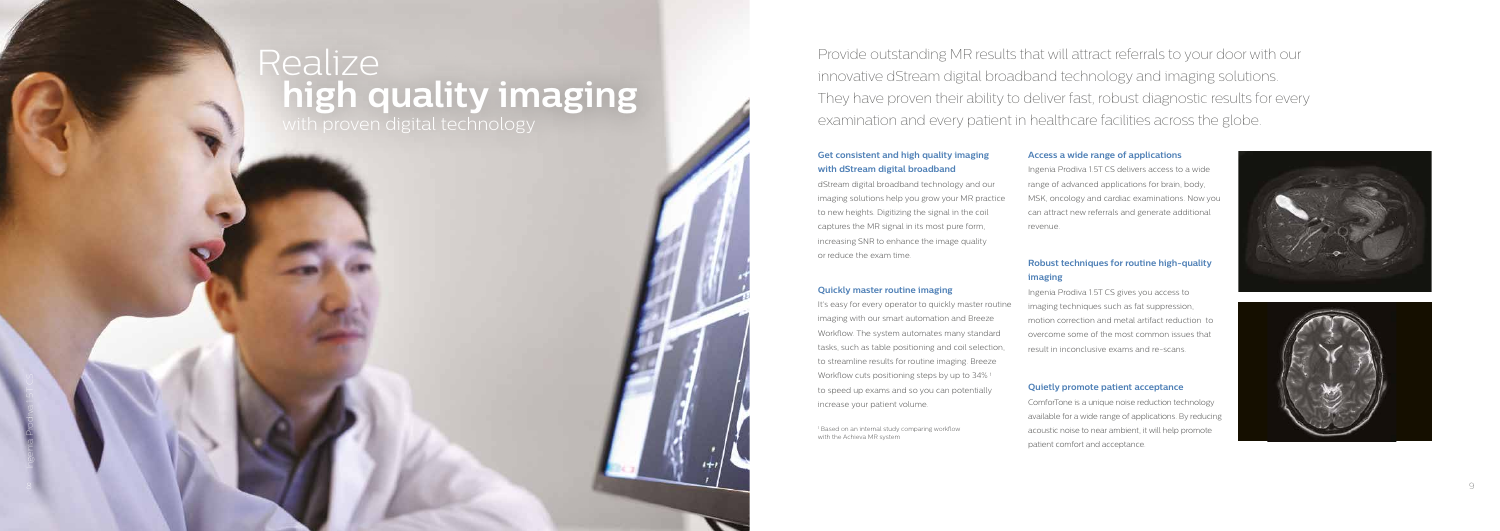#### **Get consistent and high quality imaging with dStream digital broadband**

dStream digital broadband technology and our imaging solutions help you grow your MR practice to new heights. Digitizing the signal in the coil captures the MR signal in its most pure form, increasing SNR to enhance the image quality or reduce the exam time.

#### **Quickly master routine imaging**

It's easy for every operator to quickly master routine imaging with our smart automation and Breeze Workflow. The system automates many standard tasks, such as table positioning and coil selection, to streamline results for routine imaging. Breeze Workflow cuts positioning steps by up to 34% 1 to speed up exams and so you can potentially increase your patient volume.

Provide outstanding MR results that will attract referrals to your door with our innovative dStream digital broadband technology and imaging solutions. They have proven their ability to deliver fast, robust diagnostic results for every examination and every patient in healthcare facilities across the globe.

1 Based on an internal study comparing workflow with the Achieva MR system

#### **Access a wide range of applications**

Ingenia Prodiva 1.5T CS delivers access to a wide range of advanced applications for brain, body, MSK, oncology and cardiac examinations. Now you can attract new referrals and generate additional revenue.

#### **Robust techniques for routine high-quality imaging**

Ingenia Prodiva 1.5T CS gives you access to imaging techniques such as fat suppression, motion correction and metal artifact reduction to overcome some of the most common issues that result in inconclusive exams and re-scans.

#### **Quietly promote patient acceptance**

ComforTone is a unique noise reduction technology available for a wide range of applications. By reducing acoustic noise to near ambient, it will help promote patient comfort and acceptance.





## Realize with proven digital technology **high quality imaging**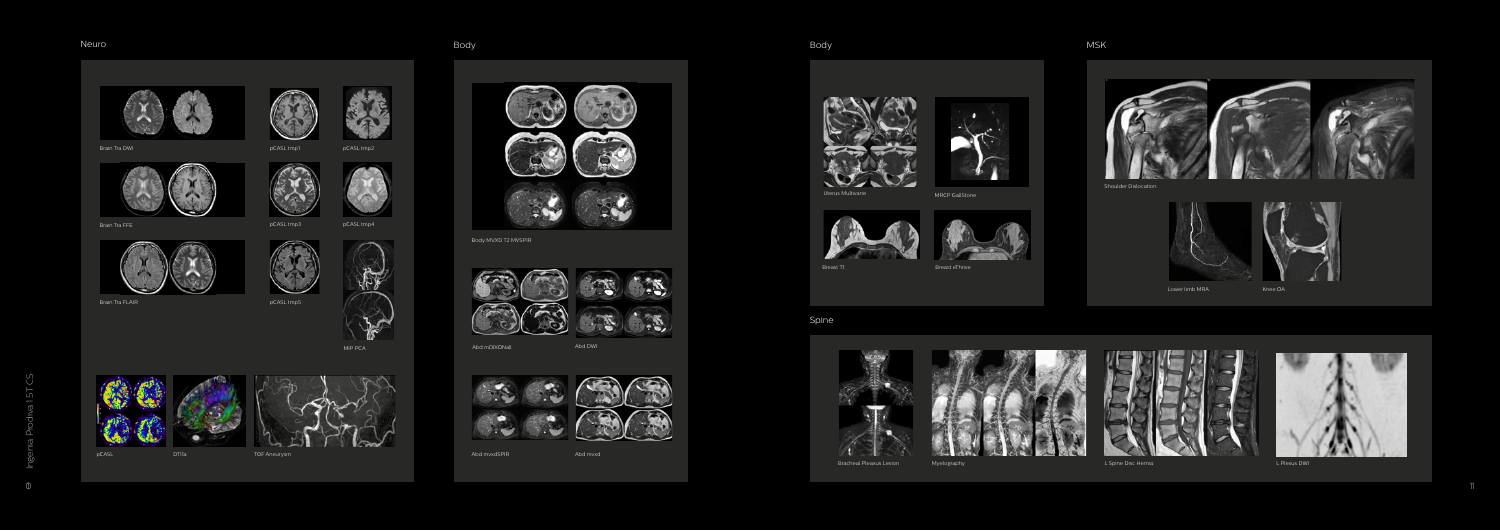

#### Neuro





#### Spine





Shoulder Dislocation











Breast T1 Breast eThrive



Bracheal Pleaxus Lesion Myelography L Spine Disc Hernia L Plexus DWI





Body MVXD T2 MVSPIR



Brain Tra FFE







Brain Tra FLAIR

VIN

đ.

 $\widehat{\phantom{a}}$ 

Brain Tra DWI pCASL tmp1



pCASL tmp3

 $\mathcal{L}$ 

pCASL tmp5



pCASL tmp4



MIP PCA





Abd mDIXONall

Abd mvxdSPIR

Abd DWI







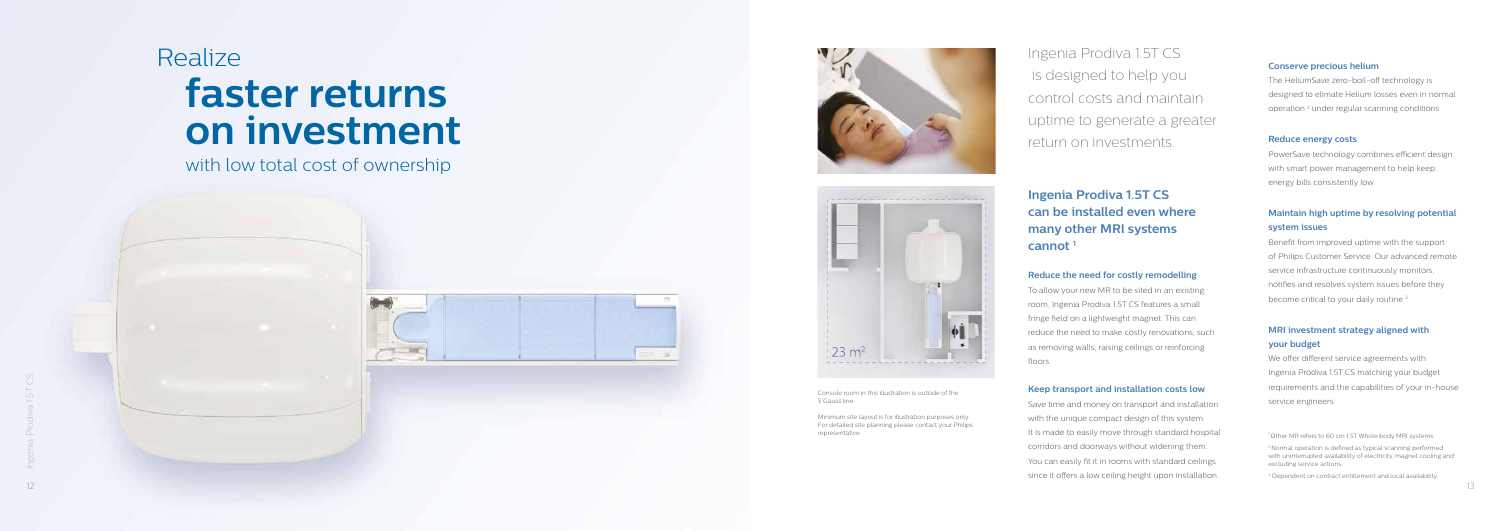## Realize **faster returns on investment**

Ingenia Prodiva 1.5T CS is designed to help you control costs and maintain uptime to generate a greater return on investments.

#### **Reduce the need for costly remodelling**

To allow your new MR to be sited in an existing room, Ingenia Prodiva 1.5T CS features a small fringe field on a lightweight magnet. This can reduce the need to make costly renovations, such as removing walls, raising ceilings or reinforcing floors.

 $\frac{1}{2}$ <br>  $\frac{1}{2}$ <br>  $\frac{1}{2}$ <br>  $\frac{1}{2}$ <br>  $\frac{1}{2}$ <br>  $\frac{1}{2}$ <br>  $\frac{1}{2}$ <br>  $\frac{1}{2}$ <br>  $\frac{1}{2}$ <br>  $\frac{1}{2}$ <br>  $\frac{1}{2}$ <br>  $\frac{1}{2}$ <br>  $\frac{1}{2}$ <br>  $\frac{1}{2}$ <br>  $\frac{1}{2}$ <br>  $\frac{1}{2}$ <br>  $\frac{1}{2}$ <br>  $\frac{1}{2}$ <br>  $\frac{1}{2}$ <br>  $\frac{1}{2}$ <br> Save time and money on transport and installation with the unique compact design of this system. It is made to easily move through standard hospital corridors and doorways without widening them. You can easily fit it in rooms with standard ceilings since it offers a low ceiling height upon installation.

#### **Keep transport and installation costs low**

Benefit from improved uptime with the support of Philips Customer Service. Our advanced remote service infrastructure continuously monitors, notifies and resolves system issues before they become critical to your daily routine<sup>3</sup>.

#### **Ingenia Prodiva 1.5T CS can be installed even where many other MRI systems cannot 1**

#### **Conserve precious helium**

The HeliumSave zero-boil-off technology is designed to elimate Helium losses even in normal operation 2 under regular scanning conditions.

#### **Reduce energy costs**

PowerSave technology combines efficient design with smart power management to help keep energy bills consistently low.

#### **Maintain high uptime by resolving potential system issues**

#### **MRI investment strategy aligned with your budget**

We offer different service agreements with Ingenia Prodiva 1.5T CS matching your budget requirements and the capabilities of your in-house service engineers.

1 Other MR refers to 60 cm 1.5T Whole body MRI systems.

2 Normal operation is defined as typical scanning performed with uninterrupted availability of electricity, magnet cooling and excluding service actions.

3 Dependent on contract entitlement and local availability.

Console room in this illustration is outside of the 5 Gauss line.

Minimum site layout is for illustration purposes only. For detailed site planning please contact your Philips



with low total cost of ownership



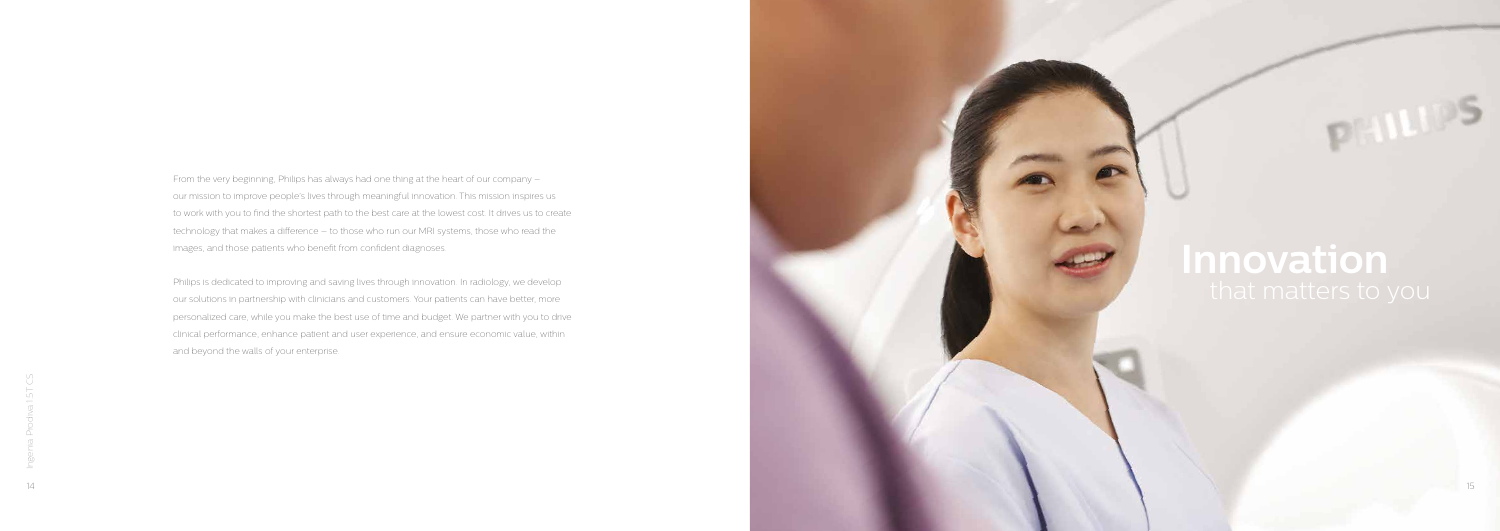From the very beginning, Philips has always had one thing at the heart of our company – our mission to improve people's lives through meaningful innovation. This mission inspires us to work with you to find the shortest path to the best care at the lowest cost. It drives us to create technology that makes a difference – to those who run our MRI systems, those who read the images, and those patients who benefit from confident diagnoses.

Philips is dedicated to improving and saving lives through innovation. In radiology, we develop our solutions in partnership with clinicians and customers. Your patients can have better, more personalized care, while you make the best use of time and budget. We partner with you to drive clinical performance, enhance patient and user experience, and ensure economic value, within and beyond the walls of your enterprise.

# **Innovation**

DIELLEU